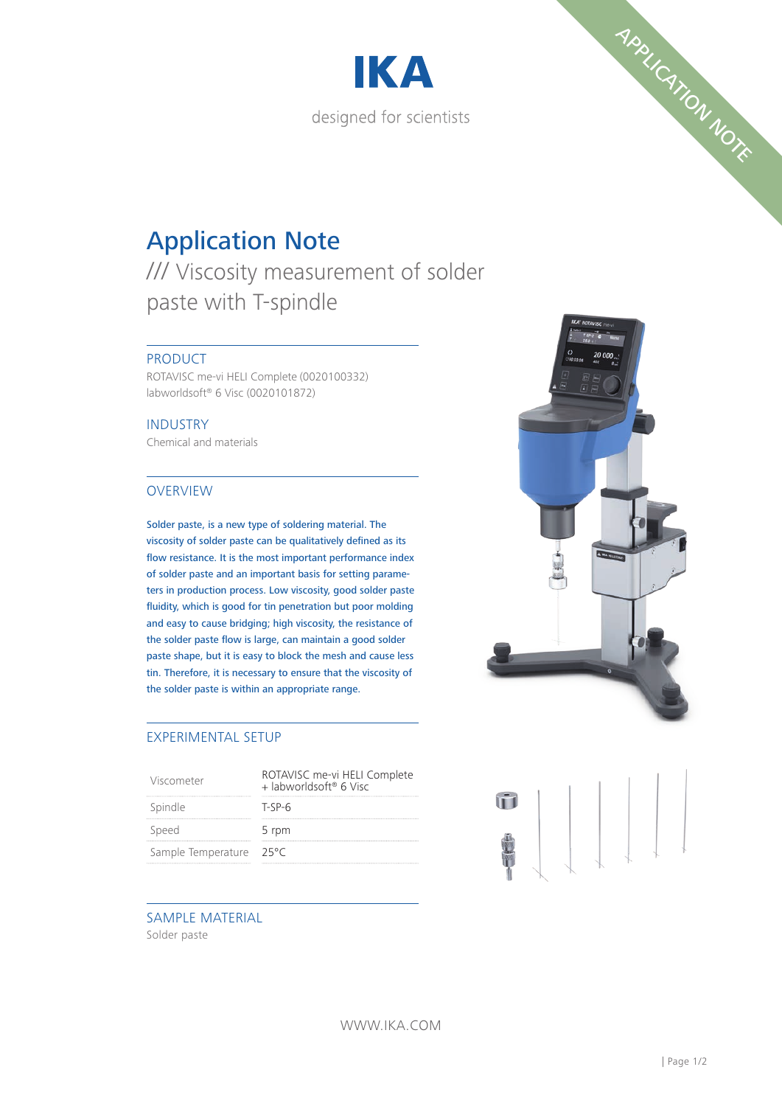



# Application Note

/// Viscosity measurement of solder paste with T-spindle

# PRODUCT

ROTAVISC me-vi HELI Complete (0020100332) labworldsoft® 6 Visc (0020101872)

# INDUSTRY

Chemical and materials

### OVERVIEW

Solder paste, is a new type of soldering material. The viscosity of solder paste can be qualitatively defined as its flow resistance. It is the most important performance index of solder paste and an important basis for setting parameters in production process. Low viscosity, good solder paste fluidity, which is good for tin penetration but poor molding and easy to cause bridging; high viscosity, the resistance of the solder paste flow is large, can maintain a good solder paste shape, but it is easy to block the mesh and cause less tin. Therefore, it is necessary to ensure that the viscosity of the solder paste is within an appropriate range.

# EXPERIMENTAL SETUP

| Viscometer         | ROTAVISC me-vi HELI Complete<br>$+$ labworldsoft <sup>®</sup> 6 Visc |
|--------------------|----------------------------------------------------------------------|
| Spindle            | $T-SP-6$                                                             |
| Speed              | 5 rpm                                                                |
| Sample Temperature | 25°C                                                                 |

#### SAMPLE MATERIAL Solder paste





WWW.IKA.COM